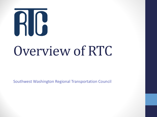# RIC

## Overview of RTC

Southwest Washington Regional Transportation Council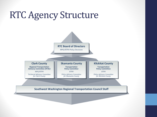## RTC Agency Structure

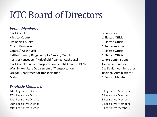## RTC Board of Directors

#### *Voting Members***:**

**Clark County 3 Councilors 3 Councilors** Klickitat County 1 Elected Official Skamania County **12 Elected Official** City of Vancouver 2 Representatives **Camas / Washougal 1 Elected Official** Battle Ground / Ridgefield / La Center / Yacolt 1 Elected Official Ports of Vancouver / Ridgefield / Camas-Washougal 1 Port Commissioner Clark County Public Transportation Benefit Area (C-TRAN) Executive Director Washington State Department of Transportation SW Region Administrator Oregon Department of Transportation and Regional Administrator Metro 1 Council Member

#### *Ex-officio Members:*

14th Legislative District 3 Legislative Members 17th Legislative District 3 Legislative Members 18th Legislative District **3** Legislative Members 20th Legislative District **3** Legislative Members Alth Legislative District **3** Legislative members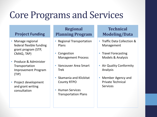## Core Programs and Services

#### **Project Funding**

- Manage regional federal flexible funding grant program (STP, CMAQ, TAP)
- Produce & Administer Transportation Improvement Program (TIP)
- Project development and grant writing consultation

#### **Regional Planning Program**

- Regional Transportation Plans
- Congestion Management Process
- Vancouver Area Smart Trek
- Skamania and Klickitat County RTPO
- Human Services Transportation Plans

#### **Technical Modeling/Data**

- Traffic Data Collection & Management
- Travel Forecasting Models & Analysis
- Air Quality Conformity Analysis
- Member Agency and Private Technical Services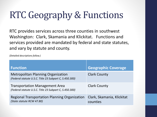## RTC Geography & Functions

RTC provides services across three counties in southwest Washington: Clark, Skamania and Klickitat. Functions and services provided are mandated by federal and state statutes, and vary by statute and county.

*(Detailed descriptions follow.)* 

| <b>Function</b>                                                                                     | <b>Geographic Coverage</b>             |
|-----------------------------------------------------------------------------------------------------|----------------------------------------|
| <b>Metropolitan Planning Organization</b><br>(Federal statute U.S.C. Title 23 Subpart C, S.450.300) | <b>Clark County</b>                    |
| <b>Transportation Management Area</b><br>(Federal statute U.S.C. Title 23 Subpart C, S.450.300)     | <b>Clark County</b>                    |
| <b>Regional Transportation Planning Organization</b><br>(State statute RCW 47.80)                   | Clark, Skamania, Klickitat<br>counties |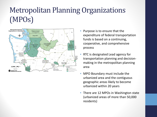## Metropolitan Planning Organizations (MPOs)



- Purpose is to ensure that the expenditure of federal transportation funds is based on a continuing, cooperative, and comprehensive process
- RTC is designated Lead agency for transportation planning and decisionmaking in the metropolitan planning area
- MPO Boundary must include the urbanized area and the contiguous geographic areas likely to become urbanized within 20 years
- There are 12 MPOs in Washington state (urbanized areas of more than 50,000 residents)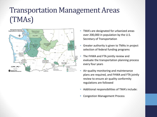## Transportation Management Areas (TMAs)



- TMA's are designated for urbanized areas over 200,000 in population by the U.S. Secretary of Transportation
- Greater authority is given to TMAs in project selection of federal funding programs
- The FHWA and FTA jointly review and evaluate the transportation planning process every four years
- Air-quality monitoring and maintenance plans are required, and FHWA and FTA jointly review to ensure air quality conformity regulations are followed
- Additional responsibilities of TMA's include:
- Congestion Management Process